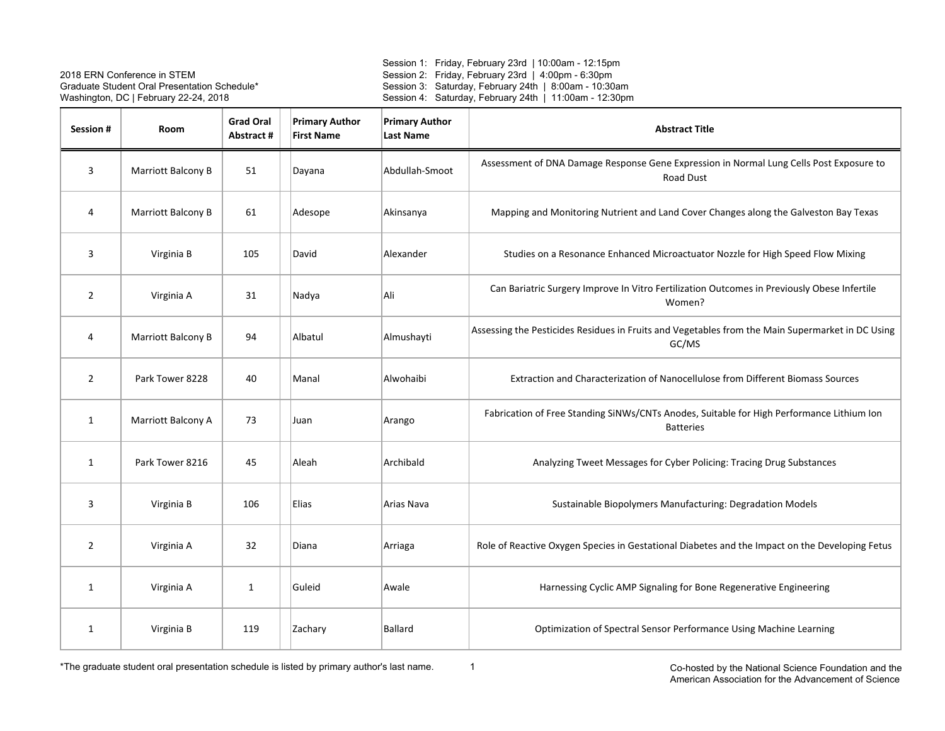Session 1: Friday, February 23rd | 10:00am - 12:15pm Session 2: Friday, February 23rd | 4:00pm - 6:30pm Session 3: Saturday, February 24th | 8:00am - 10:30am Session 4: Saturday, February 24th | 11:00am - 12:30pm

| Session #      | Room               | <b>Grad Oral</b><br>Abstract# | <b>Primary Author</b><br><b>First Name</b> | <b>Primary Author</b><br><b>Last Name</b> | <b>Abstract Title</b>                                                                                         |
|----------------|--------------------|-------------------------------|--------------------------------------------|-------------------------------------------|---------------------------------------------------------------------------------------------------------------|
| 3              | Marriott Balcony B | 51                            | Dayana                                     | Abdullah-Smoot                            | Assessment of DNA Damage Response Gene Expression in Normal Lung Cells Post Exposure to<br><b>Road Dust</b>   |
| 4              | Marriott Balcony B | 61                            | Adesope                                    | Akinsanya                                 | Mapping and Monitoring Nutrient and Land Cover Changes along the Galveston Bay Texas                          |
| 3              | Virginia B         | 105                           | David                                      | Alexander                                 | Studies on a Resonance Enhanced Microactuator Nozzle for High Speed Flow Mixing                               |
| $\overline{2}$ | Virginia A         | 31                            | Nadya                                      | Ali                                       | Can Bariatric Surgery Improve In Vitro Fertilization Outcomes in Previously Obese Infertile<br>Women?         |
| 4              | Marriott Balcony B | 94                            | Albatul                                    | Almushayti                                | Assessing the Pesticides Residues in Fruits and Vegetables from the Main Supermarket in DC Using<br>GC/MS     |
| $\overline{2}$ | Park Tower 8228    | 40                            | Manal                                      | Alwohaibi                                 | Extraction and Characterization of Nanocellulose from Different Biomass Sources                               |
| $\mathbf{1}$   | Marriott Balcony A | 73                            | Juan                                       | Arango                                    | Fabrication of Free Standing SiNWs/CNTs Anodes, Suitable for High Performance Lithium Ion<br><b>Batteries</b> |
| 1              | Park Tower 8216    | 45                            | Aleah                                      | Archibald                                 | Analyzing Tweet Messages for Cyber Policing: Tracing Drug Substances                                          |
| 3              | Virginia B         | 106                           | Elias                                      | Arias Nava                                | Sustainable Biopolymers Manufacturing: Degradation Models                                                     |
| $\overline{2}$ | Virginia A         | 32                            | Diana                                      | Arriaga                                   | Role of Reactive Oxygen Species in Gestational Diabetes and the Impact on the Developing Fetus                |
| 1              | Virginia A         | $\mathbf{1}$                  | Guleid                                     | Awale                                     | Harnessing Cyclic AMP Signaling for Bone Regenerative Engineering                                             |
| 1              | Virginia B         | 119                           | Zachary                                    | Ballard                                   | Optimization of Spectral Sensor Performance Using Machine Learning                                            |

\*The graduate student oral presentation schedule is listed by primary author's last name.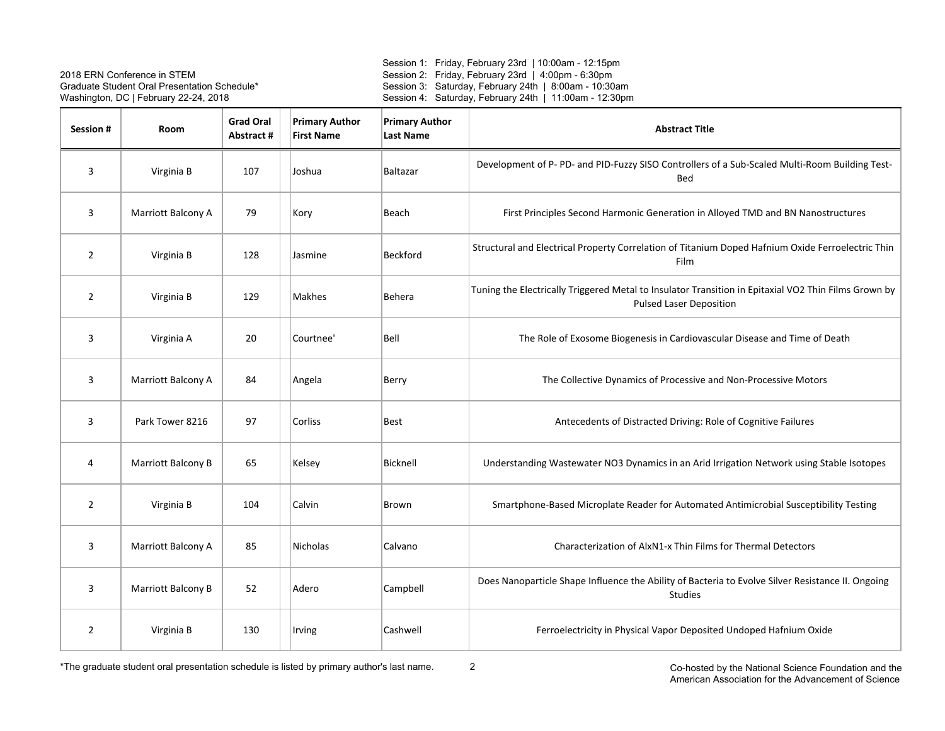Session 1: Friday, February 23rd | 10:00am - 12:15pm Session 2: Friday, February 23rd | 4:00pm - 6:30pm Session 3: Saturday, February 24th | 8:00am - 10:30am Session 4: Saturday, February 24th | 11:00am - 12:30pm

| Session #      | Room               | <b>Grad Oral</b><br>Abstract # | <b>Primary Author</b><br><b>First Name</b> | <b>Primary Author</b><br><b>Last Name</b> | <b>Abstract Title</b>                                                                                                                  |
|----------------|--------------------|--------------------------------|--------------------------------------------|-------------------------------------------|----------------------------------------------------------------------------------------------------------------------------------------|
| 3              | Virginia B         | 107                            | Joshua                                     | Baltazar                                  | Development of P- PD- and PID-Fuzzy SISO Controllers of a Sub-Scaled Multi-Room Building Test-<br>Bed                                  |
| 3              | Marriott Balcony A | 79                             | Kory                                       | Beach                                     | First Principles Second Harmonic Generation in Alloyed TMD and BN Nanostructures                                                       |
| $\overline{2}$ | Virginia B         | 128                            | Jasmine                                    | Beckford                                  | Structural and Electrical Property Correlation of Titanium Doped Hafnium Oxide Ferroelectric Thin<br>Film                              |
| 2              | Virginia B         | 129                            | <b>Makhes</b>                              | <b>Behera</b>                             | Tuning the Electrically Triggered Metal to Insulator Transition in Epitaxial VO2 Thin Films Grown by<br><b>Pulsed Laser Deposition</b> |
| 3              | Virginia A         | 20                             | Courtnee'                                  | Bell                                      | The Role of Exosome Biogenesis in Cardiovascular Disease and Time of Death                                                             |
| 3              | Marriott Balcony A | 84                             | Angela                                     | Berry                                     | The Collective Dynamics of Processive and Non-Processive Motors                                                                        |
| 3              | Park Tower 8216    | 97                             | Corliss                                    | <b>Best</b>                               | Antecedents of Distracted Driving: Role of Cognitive Failures                                                                          |
| 4              | Marriott Balcony B | 65                             | Kelsey                                     | Bicknell                                  | Understanding Wastewater NO3 Dynamics in an Arid Irrigation Network using Stable Isotopes                                              |
| $\overline{2}$ | Virginia B         | 104                            | Calvin                                     | Brown                                     | Smartphone-Based Microplate Reader for Automated Antimicrobial Susceptibility Testing                                                  |
| 3              | Marriott Balcony A | 85                             | Nicholas                                   | Calvano                                   | Characterization of AlxN1-x Thin Films for Thermal Detectors                                                                           |
| 3              | Marriott Balcony B | 52                             | Adero                                      | Campbell                                  | Does Nanoparticle Shape Influence the Ability of Bacteria to Evolve Silver Resistance II. Ongoing<br>Studies                           |
| 2              | Virginia B         | 130                            | Irving                                     | Cashwell                                  | Ferroelectricity in Physical Vapor Deposited Undoped Hafnium Oxide                                                                     |

 Co-hosted by the National Science Foundation and the American Association for the Advancement of Science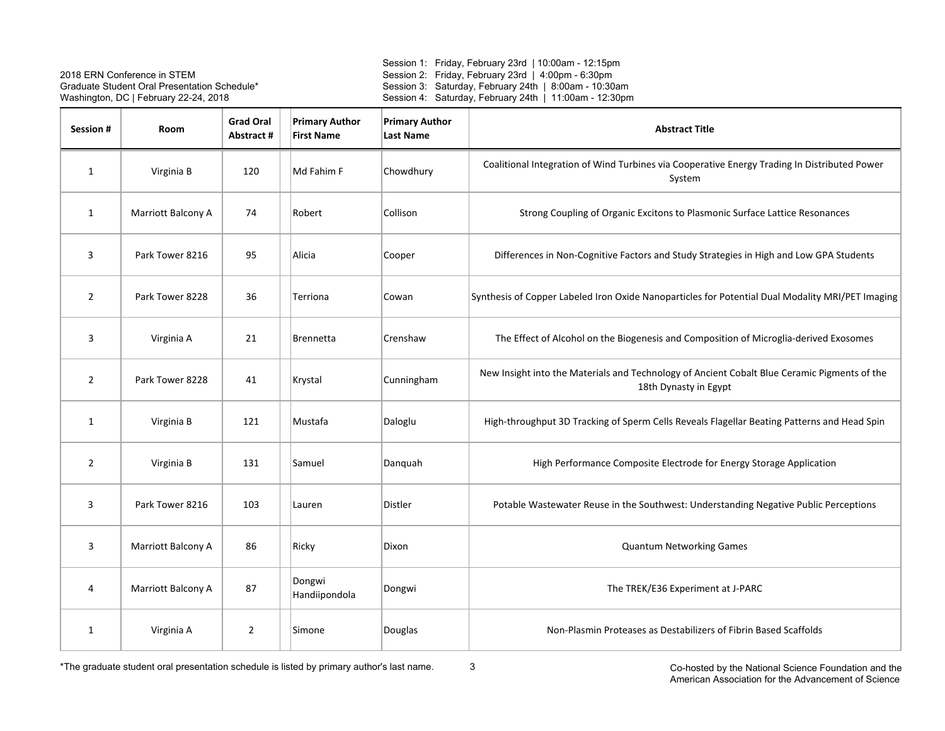Session 1: Friday, February 23rd | 10:00am - 12:15pm Session 2: Friday, February 23rd | 4:00pm - 6:30pm Session 3: Saturday, February 24th | 8:00am - 10:30am Session 4: Saturday, February 24th | 11:00am - 12:30pm

| Session #      | Room               | <b>Grad Oral</b><br>Abstract# | <b>Primary Author</b><br><b>First Name</b> | <b>Primary Author</b><br><b>Last Name</b> | <b>Abstract Title</b>                                                                                                 |
|----------------|--------------------|-------------------------------|--------------------------------------------|-------------------------------------------|-----------------------------------------------------------------------------------------------------------------------|
| 1              | Virginia B         | 120                           | Md Fahim F                                 | Chowdhury                                 | Coalitional Integration of Wind Turbines via Cooperative Energy Trading In Distributed Power<br>System                |
| $\mathbf{1}$   | Marriott Balcony A | 74                            | Robert                                     | Collison                                  | Strong Coupling of Organic Excitons to Plasmonic Surface Lattice Resonances                                           |
| 3              | Park Tower 8216    | 95                            | Alicia                                     | Cooper                                    | Differences in Non-Cognitive Factors and Study Strategies in High and Low GPA Students                                |
| $\overline{2}$ | Park Tower 8228    | 36                            | Terriona                                   | Cowan                                     | Synthesis of Copper Labeled Iron Oxide Nanoparticles for Potential Dual Modality MRI/PET Imaging                      |
| 3              | Virginia A         | 21                            | <b>Brennetta</b>                           | Crenshaw                                  | The Effect of Alcohol on the Biogenesis and Composition of Microglia-derived Exosomes                                 |
| $\overline{2}$ | Park Tower 8228    | 41                            | Krystal                                    | Cunningham                                | New Insight into the Materials and Technology of Ancient Cobalt Blue Ceramic Pigments of the<br>18th Dynasty in Egypt |
| $\mathbf{1}$   | Virginia B         | 121                           | Mustafa                                    | Daloglu                                   | High-throughput 3D Tracking of Sperm Cells Reveals Flagellar Beating Patterns and Head Spin                           |
| $\overline{2}$ | Virginia B         | 131                           | Samuel                                     | Danquah                                   | High Performance Composite Electrode for Energy Storage Application                                                   |
| 3              | Park Tower 8216    | 103                           | Lauren                                     | Distler                                   | Potable Wastewater Reuse in the Southwest: Understanding Negative Public Perceptions                                  |
| 3              | Marriott Balcony A | 86                            | Ricky                                      | Dixon                                     | <b>Quantum Networking Games</b>                                                                                       |
| 4              | Marriott Balcony A | 87                            | Dongwi<br>Handiipondola                    | Dongwi                                    | The TREK/E36 Experiment at J-PARC                                                                                     |
| $\mathbf{1}$   | Virginia A         | $\overline{2}$                | Simone                                     | Douglas                                   | Non-Plasmin Proteases as Destabilizers of Fibrin Based Scaffolds                                                      |

 Co-hosted by the National Science Foundation and the American Association for the Advancement of Science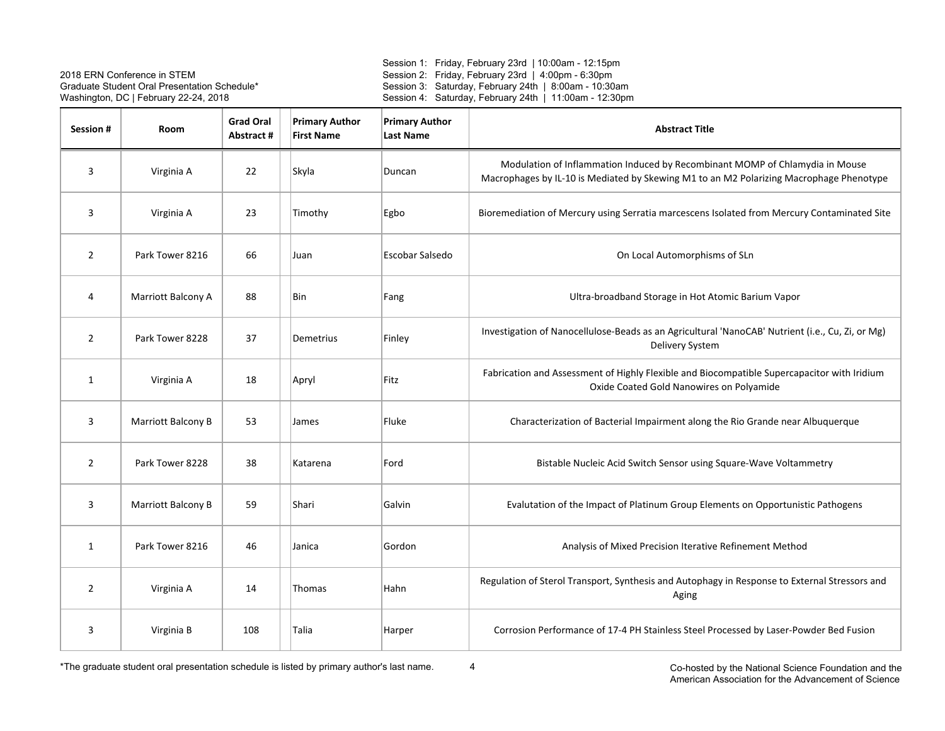Session 1: Friday, February 23rd | 10:00am - 12:15pm Session 2: Friday, February 23rd | 4:00pm - 6:30pm Session 3: Saturday, February 24th | 8:00am - 10:30am Session 4: Saturday, February 24th | 11:00am - 12:30pm

| Session #      | Room               | <b>Grad Oral</b><br>Abstract # | <b>Primary Author</b><br><b>First Name</b> | <b>Primary Author</b><br><b>Last Name</b> | <b>Abstract Title</b>                                                                                                                                                   |
|----------------|--------------------|--------------------------------|--------------------------------------------|-------------------------------------------|-------------------------------------------------------------------------------------------------------------------------------------------------------------------------|
| $\overline{3}$ | Virginia A         | 22                             | Skyla                                      | Duncan                                    | Modulation of Inflammation Induced by Recombinant MOMP of Chlamydia in Mouse<br>Macrophages by IL-10 is Mediated by Skewing M1 to an M2 Polarizing Macrophage Phenotype |
| 3              | Virginia A         | 23                             | Timothy                                    | Egbo                                      | Bioremediation of Mercury using Serratia marcescens Isolated from Mercury Contaminated Site                                                                             |
| $\overline{2}$ | Park Tower 8216    | 66                             | Juan                                       | Escobar Salsedo                           | On Local Automorphisms of SLn                                                                                                                                           |
| 4              | Marriott Balcony A | 88                             | Bin                                        | Fang                                      | Ultra-broadband Storage in Hot Atomic Barium Vapor                                                                                                                      |
| $\overline{2}$ | Park Tower 8228    | 37                             | Demetrius                                  | Finley                                    | Investigation of Nanocellulose-Beads as an Agricultural 'NanoCAB' Nutrient (i.e., Cu, Zi, or Mg)<br>Delivery System                                                     |
| $\mathbf{1}$   | Virginia A         | 18                             | Apryl                                      | Fitz                                      | Fabrication and Assessment of Highly Flexible and Biocompatible Supercapacitor with Iridium<br>Oxide Coated Gold Nanowires on Polyamide                                 |
| 3              | Marriott Balcony B | 53                             | James                                      | Fluke                                     | Characterization of Bacterial Impairment along the Rio Grande near Albuquerque                                                                                          |
| $\overline{2}$ | Park Tower 8228    | 38                             | Katarena                                   | Ford                                      | Bistable Nucleic Acid Switch Sensor using Square-Wave Voltammetry                                                                                                       |
| 3              | Marriott Balcony B | 59                             | Shari                                      | Galvin                                    | Evalutation of the Impact of Platinum Group Elements on Opportunistic Pathogens                                                                                         |
| $\mathbf{1}$   | Park Tower 8216    | 46                             | Janica                                     | Gordon                                    | Analysis of Mixed Precision Iterative Refinement Method                                                                                                                 |
| $\overline{2}$ | Virginia A         | 14                             | Thomas                                     | Hahn                                      | Regulation of Sterol Transport, Synthesis and Autophagy in Response to External Stressors and<br>Aging                                                                  |
| 3              | Virginia B         | 108                            | Talia                                      | Harper                                    | Corrosion Performance of 17-4 PH Stainless Steel Processed by Laser-Powder Bed Fusion                                                                                   |

 Co-hosted by the National Science Foundation and the American Association for the Advancement of Science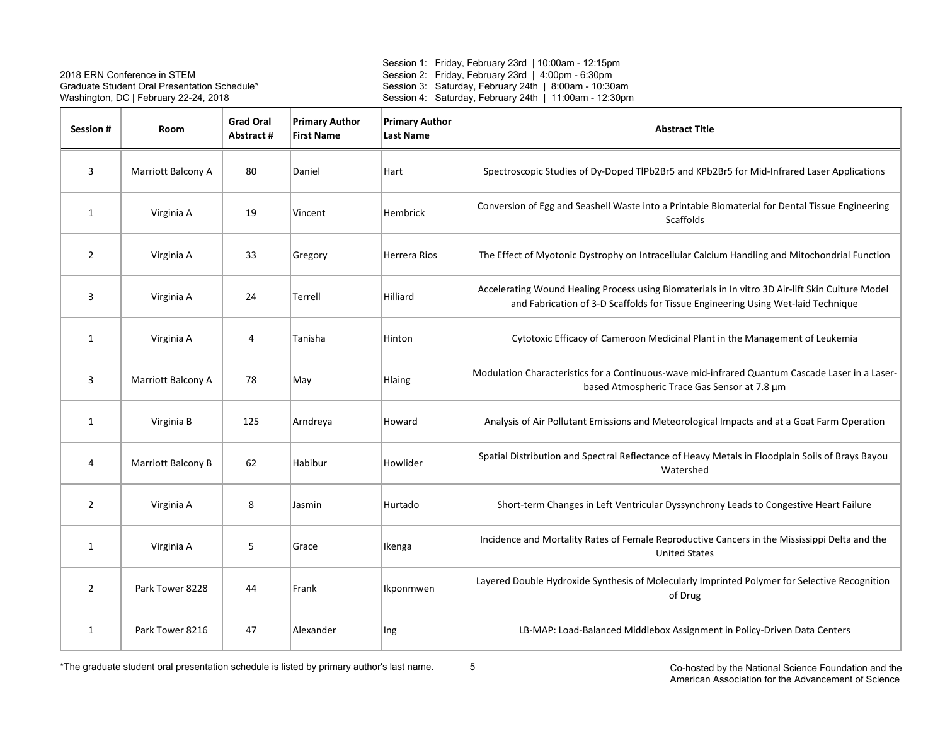Session 1: Friday, February 23rd | 10:00am - 12:15pm Session 2: Friday, February 23rd | 4:00pm - 6:30pm Session 3: Saturday, February 24th | 8:00am - 10:30am Session 4: Saturday, February 24th | 11:00am - 12:30pm

| Session #      | Room               | <b>Grad Oral</b><br>Abstract# | <b>Primary Author</b><br><b>First Name</b> | <b>Primary Author</b><br>Last Name | <b>Abstract Title</b>                                                                                                                                                                |
|----------------|--------------------|-------------------------------|--------------------------------------------|------------------------------------|--------------------------------------------------------------------------------------------------------------------------------------------------------------------------------------|
| 3              | Marriott Balcony A | 80                            | Daniel                                     | Hart                               | Spectroscopic Studies of Dy-Doped TIPb2Br5 and KPb2Br5 for Mid-Infrared Laser Applications                                                                                           |
| $\mathbf{1}$   | Virginia A         | 19                            | Vincent                                    | <b>Hembrick</b>                    | Conversion of Egg and Seashell Waste into a Printable Biomaterial for Dental Tissue Engineering<br><b>Scaffolds</b>                                                                  |
| 2              | Virginia A         | 33                            | Gregory                                    | Herrera Rios                       | The Effect of Myotonic Dystrophy on Intracellular Calcium Handling and Mitochondrial Function                                                                                        |
| 3              | Virginia A         | 24                            | Terrell                                    | Hilliard                           | Accelerating Wound Healing Process using Biomaterials in In vitro 3D Air-lift Skin Culture Model<br>and Fabrication of 3-D Scaffolds for Tissue Engineering Using Wet-laid Technique |
| 1              | Virginia A         | 4                             | Tanisha                                    | Hinton                             | Cytotoxic Efficacy of Cameroon Medicinal Plant in the Management of Leukemia                                                                                                         |
| 3              | Marriott Balcony A | 78                            | May                                        | Hlaing                             | Modulation Characteristics for a Continuous-wave mid-infrared Quantum Cascade Laser in a Laser-<br>based Atmospheric Trace Gas Sensor at 7.8 µm                                      |
| $\mathbf{1}$   | Virginia B         | 125                           | Arndreya                                   | Howard                             | Analysis of Air Pollutant Emissions and Meteorological Impacts and at a Goat Farm Operation                                                                                          |
| 4              | Marriott Balcony B | 62                            | Habibur                                    | Howlider                           | Spatial Distribution and Spectral Reflectance of Heavy Metals in Floodplain Soils of Brays Bayou<br>Watershed                                                                        |
| $\overline{2}$ | Virginia A         | 8                             | Jasmin                                     | Hurtado                            | Short-term Changes in Left Ventricular Dyssynchrony Leads to Congestive Heart Failure                                                                                                |
| $\mathbf{1}$   | Virginia A         | 5                             | Grace                                      | Ikenga                             | Incidence and Mortality Rates of Female Reproductive Cancers in the Mississippi Delta and the<br><b>United States</b>                                                                |
| 2              | Park Tower 8228    | 44                            | Frank                                      | Ikponmwen                          | Layered Double Hydroxide Synthesis of Molecularly Imprinted Polymer for Selective Recognition<br>of Drug                                                                             |
| $\mathbf{1}$   | Park Tower 8216    | 47                            | Alexander                                  | Ing                                | LB-MAP: Load-Balanced Middlebox Assignment in Policy-Driven Data Centers                                                                                                             |

 Co-hosted by the National Science Foundation and the American Association for the Advancement of Science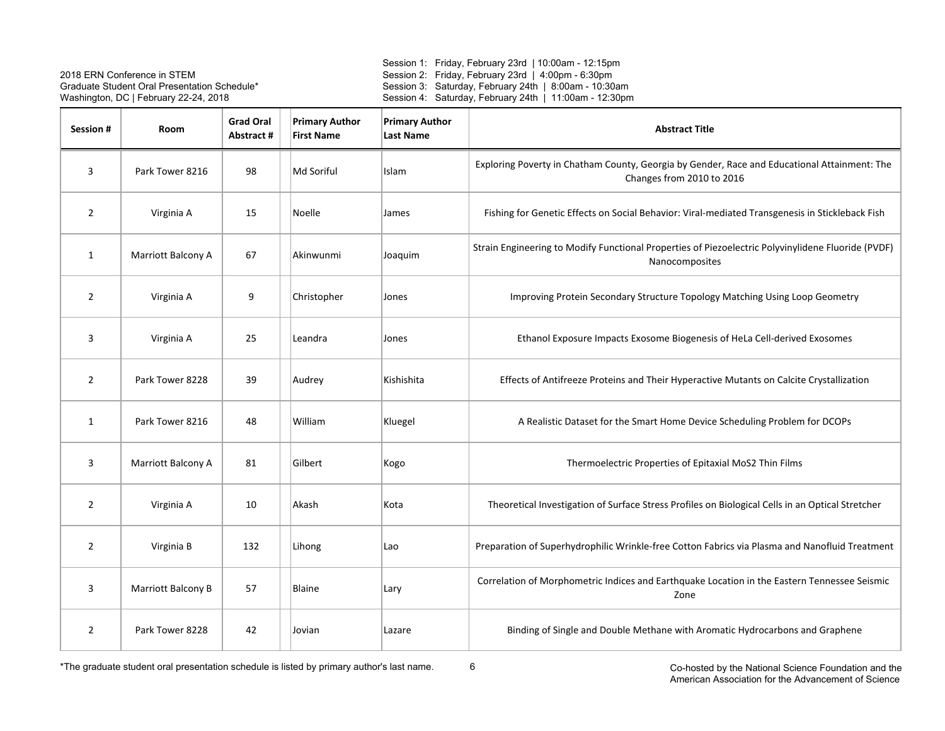Session 1: Friday, February 23rd | 10:00am - 12:15pm Session 2: Friday, February 23rd | 4:00pm - 6:30pm Session 3: Saturday, February 24th | 8:00am - 10:30am Session 4: Saturday, February 24th | 11:00am - 12:30pm

| Session #      | <b>Room</b>        | <b>Grad Oral</b><br>Abstract# | <b>Primary Author</b><br><b>First Name</b> | <b>Primary Author</b><br><b>Last Name</b> | <b>Abstract Title</b>                                                                                                     |
|----------------|--------------------|-------------------------------|--------------------------------------------|-------------------------------------------|---------------------------------------------------------------------------------------------------------------------------|
| 3              | Park Tower 8216    | 98                            | Md Soriful                                 | Islam                                     | Exploring Poverty in Chatham County, Georgia by Gender, Race and Educational Attainment: The<br>Changes from 2010 to 2016 |
| $\overline{2}$ | Virginia A         | 15                            | Noelle                                     | James                                     | Fishing for Genetic Effects on Social Behavior: Viral-mediated Transgenesis in Stickleback Fish                           |
| $\mathbf{1}$   | Marriott Balcony A | 67                            | Akinwunmi                                  | Joaquim                                   | Strain Engineering to Modify Functional Properties of Piezoelectric Polyvinylidene Fluoride (PVDF)<br>Nanocomposites      |
| 2              | Virginia A         | 9                             | Christopher                                | Jones                                     | Improving Protein Secondary Structure Topology Matching Using Loop Geometry                                               |
| 3              | Virginia A         | 25                            | Leandra                                    | Jones                                     | Ethanol Exposure Impacts Exosome Biogenesis of HeLa Cell-derived Exosomes                                                 |
| $\overline{2}$ | Park Tower 8228    | 39                            | Audrey                                     | Kishishita                                | Effects of Antifreeze Proteins and Their Hyperactive Mutants on Calcite Crystallization                                   |
| $\mathbf{1}$   | Park Tower 8216    | 48                            | William                                    | Kluegel                                   | A Realistic Dataset for the Smart Home Device Scheduling Problem for DCOPs                                                |
| 3              | Marriott Balcony A | 81                            | Gilbert                                    | Kogo                                      | Thermoelectric Properties of Epitaxial MoS2 Thin Films                                                                    |
| $\overline{2}$ | Virginia A         | 10                            | Akash                                      | Kota                                      | Theoretical Investigation of Surface Stress Profiles on Biological Cells in an Optical Stretcher                          |
| $\overline{2}$ | Virginia B         | 132                           | Lihong                                     | Lao                                       | Preparation of Superhydrophilic Wrinkle-free Cotton Fabrics via Plasma and Nanofluid Treatment                            |
| 3              | Marriott Balcony B | 57                            | Blaine                                     | Lary                                      | Correlation of Morphometric Indices and Earthquake Location in the Eastern Tennessee Seismic<br>Zone                      |
| 2              | Park Tower 8228    | 42                            | Jovian                                     | Lazare                                    | Binding of Single and Double Methane with Aromatic Hydrocarbons and Graphene                                              |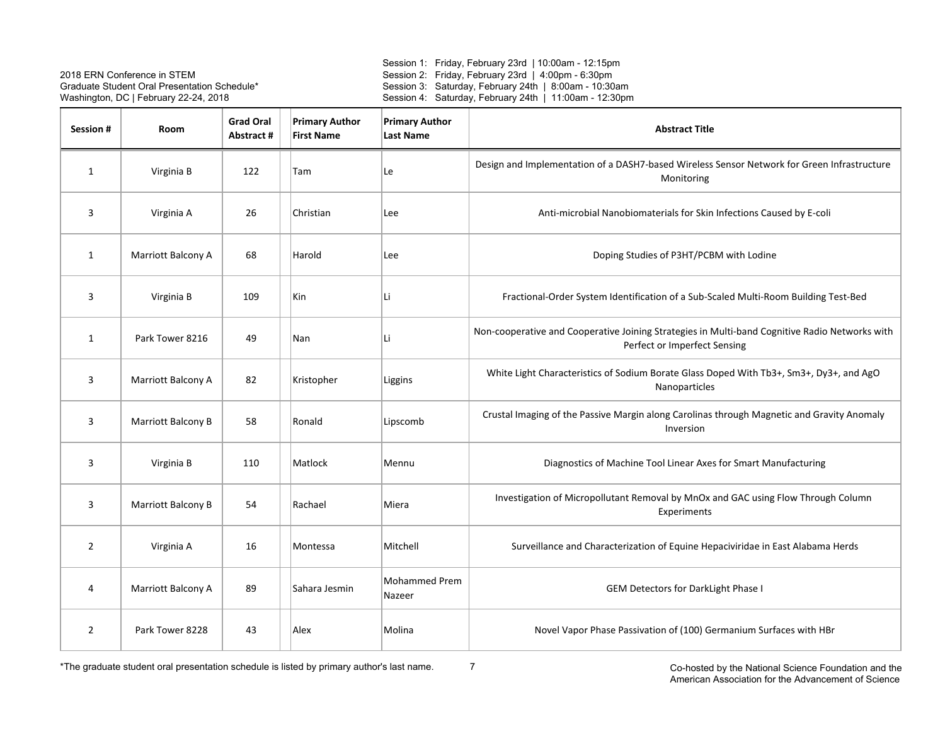Session 1: Friday, February 23rd | 10:00am - 12:15pm Session 2: Friday, February 23rd | 4:00pm - 6:30pm Session 3: Saturday, February 24th | 8:00am - 10:30am Session 4: Saturday, February 24th | 11:00am - 12:30pm

| Session #      | <b>Room</b>        | <b>Grad Oral</b><br>Abstract# | <b>Primary Author</b><br><b>First Name</b> | <b>Primary Author</b><br><b>Last Name</b> | <b>Abstract Title</b>                                                                                                          |
|----------------|--------------------|-------------------------------|--------------------------------------------|-------------------------------------------|--------------------------------------------------------------------------------------------------------------------------------|
| $\mathbf{1}$   | Virginia B         | 122                           | Tam                                        | Le                                        | Design and Implementation of a DASH7-based Wireless Sensor Network for Green Infrastructure<br>Monitoring                      |
| 3              | Virginia A         | 26                            | Christian                                  | Lee                                       | Anti-microbial Nanobiomaterials for Skin Infections Caused by E-coli                                                           |
| 1              | Marriott Balcony A | 68                            | Harold                                     | Lee                                       | Doping Studies of P3HT/PCBM with Lodine                                                                                        |
| 3              | Virginia B         | 109                           | Kin                                        | Li                                        | Fractional-Order System Identification of a Sub-Scaled Multi-Room Building Test-Bed                                            |
| $\mathbf{1}$   | Park Tower 8216    | 49                            | Nan                                        | Li                                        | Non-cooperative and Cooperative Joining Strategies in Multi-band Cognitive Radio Networks with<br>Perfect or Imperfect Sensing |
| 3              | Marriott Balcony A | 82                            | Kristopher                                 | Liggins                                   | White Light Characteristics of Sodium Borate Glass Doped With Tb3+, Sm3+, Dy3+, and AgO<br>Nanoparticles                       |
| 3              | Marriott Balcony B | 58                            | Ronald                                     | Lipscomb                                  | Crustal Imaging of the Passive Margin along Carolinas through Magnetic and Gravity Anomaly<br>Inversion                        |
| 3              | Virginia B         | 110                           | Matlock                                    | Mennu                                     | Diagnostics of Machine Tool Linear Axes for Smart Manufacturing                                                                |
| 3              | Marriott Balcony B | 54                            | Rachael                                    | Miera                                     | Investigation of Micropollutant Removal by MnOx and GAC using Flow Through Column<br>Experiments                               |
| $\overline{2}$ | Virginia A         | 16                            | Montessa                                   | Mitchell                                  | Surveillance and Characterization of Equine Hepaciviridae in East Alabama Herds                                                |
| 4              | Marriott Balcony A | 89                            | Sahara Jesmin                              | <b>Mohammed Prem</b><br>Nazeer            | <b>GEM Detectors for DarkLight Phase I</b>                                                                                     |
| $\overline{2}$ | Park Tower 8228    | 43                            | Alex                                       | Molina                                    | Novel Vapor Phase Passivation of (100) Germanium Surfaces with HBr                                                             |

\*The graduate student oral presentation schedule is listed by primary author's last name.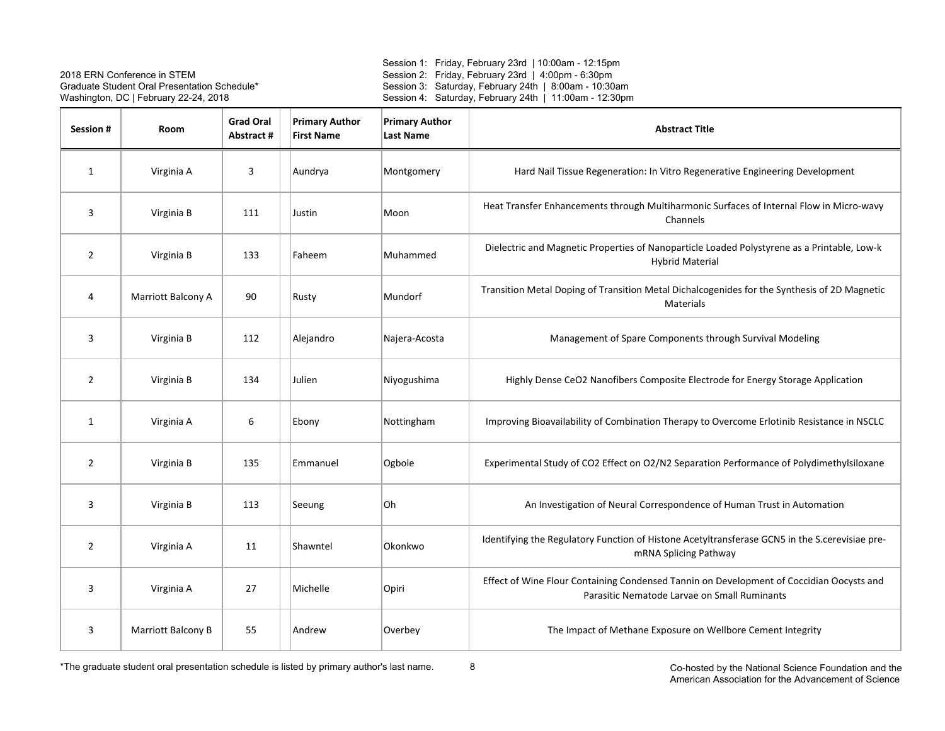Session 1: Friday, February 23rd | 10:00am - 12:15pm Session 2: Friday, February 23rd | 4:00pm - 6:30pm Session 3: Saturday, February 24th | 8:00am - 10:30am Session 4: Saturday, February 24th | 11:00am - 12:30pm

| <b>Session#</b> | Room               | <b>Grad Oral</b><br>Abstract # | <b>Primary Author</b><br><b>First Name</b> | <b>Primary Author</b><br><b>Last Name</b> | <b>Abstract Title</b>                                                                                                                    |
|-----------------|--------------------|--------------------------------|--------------------------------------------|-------------------------------------------|------------------------------------------------------------------------------------------------------------------------------------------|
| $\mathbf{1}$    | Virginia A         | 3                              | Aundrya                                    | Montgomery                                | Hard Nail Tissue Regeneration: In Vitro Regenerative Engineering Development                                                             |
| 3               | Virginia B         | 111                            | Justin                                     | Moon                                      | Heat Transfer Enhancements through Multiharmonic Surfaces of Internal Flow in Micro-wavy<br>Channels                                     |
| 2               | Virginia B         | 133                            | Faheem                                     | Muhammed                                  | Dielectric and Magnetic Properties of Nanoparticle Loaded Polystyrene as a Printable, Low-k<br><b>Hybrid Material</b>                    |
| 4               | Marriott Balcony A | 90                             | Rusty                                      | Mundorf                                   | Transition Metal Doping of Transition Metal Dichalcogenides for the Synthesis of 2D Magnetic<br>Materials                                |
| 3               | Virginia B         | 112                            | Alejandro                                  | Najera-Acosta                             | Management of Spare Components through Survival Modeling                                                                                 |
| $\overline{2}$  | Virginia B         | 134                            | Julien                                     | Niyogushima                               | Highly Dense CeO2 Nanofibers Composite Electrode for Energy Storage Application                                                          |
| $\mathbf{1}$    | Virginia A         | 6                              | Ebony                                      | Nottingham                                | Improving Bioavailability of Combination Therapy to Overcome Erlotinib Resistance in NSCLC                                               |
| 2               | Virginia B         | 135                            | Emmanuel                                   | Ogbole                                    | Experimental Study of CO2 Effect on O2/N2 Separation Performance of Polydimethylsiloxane                                                 |
| 3               | Virginia B         | 113                            | Seeung                                     | Oh                                        | An Investigation of Neural Correspondence of Human Trust in Automation                                                                   |
| $\overline{2}$  | Virginia A         | 11                             | Shawntel                                   | Okonkwo                                   | Identifying the Regulatory Function of Histone Acetyltransferase GCN5 in the S.cerevisiae pre-<br>mRNA Splicing Pathway                  |
| 3               | Virginia A         | 27                             | Michelle                                   | Opiri                                     | Effect of Wine Flour Containing Condensed Tannin on Development of Coccidian Oocysts and<br>Parasitic Nematode Larvae on Small Ruminants |
| 3               | Marriott Balcony B | 55                             | Andrew                                     | Overbey                                   | The Impact of Methane Exposure on Wellbore Cement Integrity                                                                              |

 Co-hosted by the National Science Foundation and the American Association for the Advancement of Science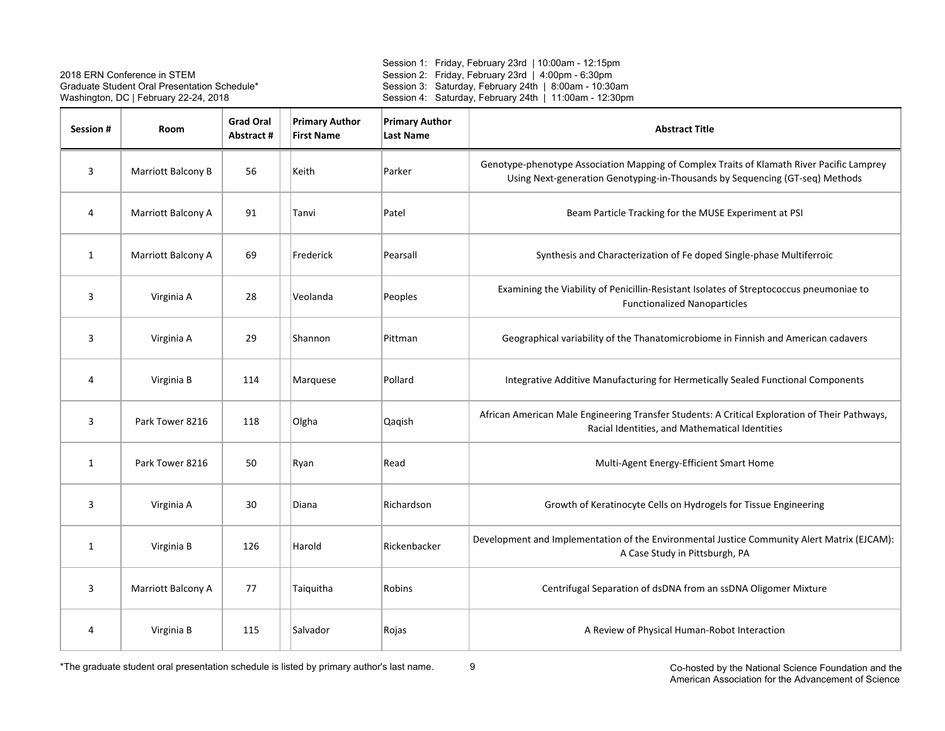Session 1: Friday, February 23rd | 10:00am - 12:15pm Session 2: Friday, February 23rd | 4:00pm - 6:30pm Session 3: Saturday, February 24th | 8:00am - 10:30am Session 4: Saturday, February 24th | 11:00am - 12:30pm

| Session # | Room               | <b>Grad Oral</b><br>Abstract # | <b>Primary Author</b><br><b>First Name</b> | <b>Primary Author</b><br><b>Last Name</b> | <b>Abstract Title</b>                                                                                                                                                     |
|-----------|--------------------|--------------------------------|--------------------------------------------|-------------------------------------------|---------------------------------------------------------------------------------------------------------------------------------------------------------------------------|
| 3         | Marriott Balcony B | 56                             | Keith                                      | Parker                                    | Genotype-phenotype Association Mapping of Complex Traits of Klamath River Pacific Lamprey<br>Using Next-generation Genotyping-in-Thousands by Sequencing (GT-seq) Methods |
| 4         | Marriott Balcony A | 91                             | Tanvi                                      | Patel                                     | Beam Particle Tracking for the MUSE Experiment at PSI                                                                                                                     |
| 1         | Marriott Balcony A | 69                             | Frederick                                  | Pearsall                                  | Synthesis and Characterization of Fe doped Single-phase Multiferroic                                                                                                      |
| 3         | Virginia A         | 28                             | Veolanda                                   | Peoples                                   | Examining the Viability of Penicillin-Resistant Isolates of Streptococcus pneumoniae to<br><b>Functionalized Nanoparticles</b>                                            |
| 3         | Virginia A         | 29                             | Shannon                                    | Pittman                                   | Geographical variability of the Thanatomicrobiome in Finnish and American cadavers                                                                                        |
| 4         | Virginia B         | 114                            | Marquese                                   | Pollard                                   | Integrative Additive Manufacturing for Hermetically Sealed Functional Components                                                                                          |
| 3         | Park Tower 8216    | 118                            | Olgha                                      | Qaqish                                    | African American Male Engineering Transfer Students: A Critical Exploration of Their Pathways,<br>Racial Identities, and Mathematical Identities                          |
| 1         | Park Tower 8216    | 50                             | Ryan                                       | Read                                      | Multi-Agent Energy-Efficient Smart Home                                                                                                                                   |
| 3         | Virginia A         | 30                             | Diana                                      | Richardson                                | Growth of Keratinocyte Cells on Hydrogels for Tissue Engineering                                                                                                          |
| 1         | Virginia B         | 126                            | Harold                                     | Rickenbacker                              | Development and Implementation of the Environmental Justice Community Alert Matrix (EJCAM):<br>A Case Study in Pittsburgh, PA                                             |
| 3         | Marriott Balcony A | 77                             | Taiquitha                                  | Robins                                    | Centrifugal Separation of dsDNA from an ssDNA Oligomer Mixture                                                                                                            |
| 4         | Virginia B         | 115                            | Salvador                                   | Rojas                                     | A Review of Physical Human-Robot Interaction                                                                                                                              |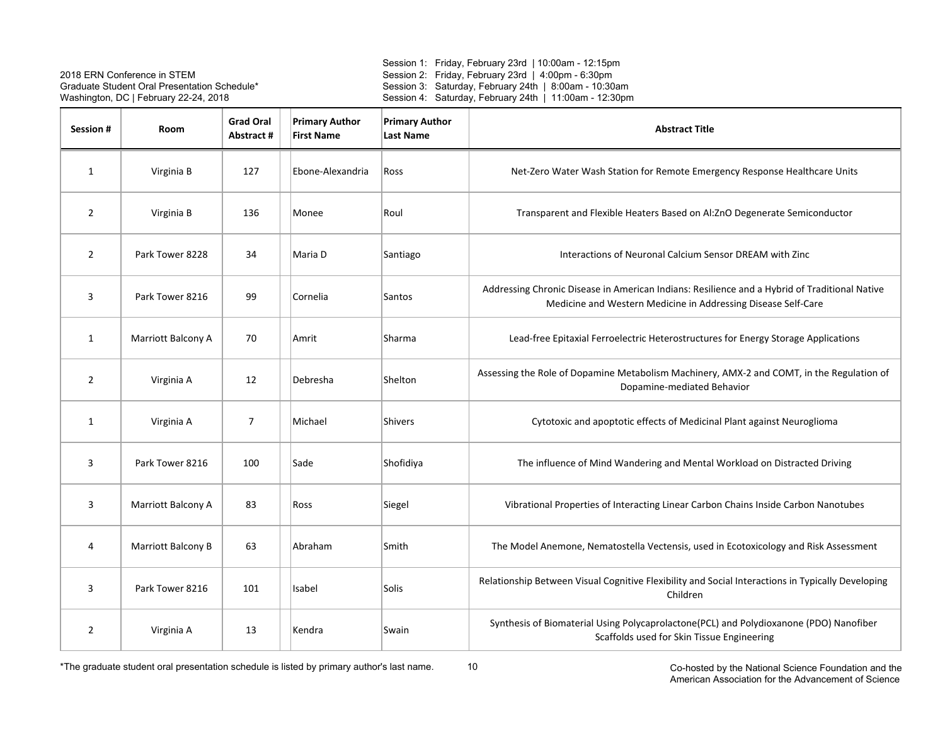Session 1: Friday, February 23rd | 10:00am - 12:15pm Session 2: Friday, February 23rd | 4:00pm - 6:30pm Session 3: Saturday, February 24th | 8:00am - 10:30am Session 4: Saturday, February 24th | 11:00am - 12:30pm

| <b>Session #</b> | Room               | <b>Grad Oral</b><br>Abstract# | <b>Primary Author</b><br><b>First Name</b> | <b>Primary Author</b><br><b>Last Name</b> | <b>Abstract Title</b>                                                                                                                                          |
|------------------|--------------------|-------------------------------|--------------------------------------------|-------------------------------------------|----------------------------------------------------------------------------------------------------------------------------------------------------------------|
| 1                | Virginia B         | 127                           | Ebone-Alexandria                           | Ross                                      | Net-Zero Water Wash Station for Remote Emergency Response Healthcare Units                                                                                     |
| $\overline{2}$   | Virginia B         | 136                           | Monee                                      | Roul                                      | Transparent and Flexible Heaters Based on Al:ZnO Degenerate Semiconductor                                                                                      |
| $\overline{2}$   | Park Tower 8228    | 34                            | Maria D                                    | Santiago                                  | Interactions of Neuronal Calcium Sensor DREAM with Zinc                                                                                                        |
| 3                | Park Tower 8216    | 99                            | Cornelia                                   | Santos                                    | Addressing Chronic Disease in American Indians: Resilience and a Hybrid of Traditional Native<br>Medicine and Western Medicine in Addressing Disease Self-Care |
| 1                | Marriott Balcony A | 70                            | Amrit                                      | Sharma                                    | Lead-free Epitaxial Ferroelectric Heterostructures for Energy Storage Applications                                                                             |
| $\overline{2}$   | Virginia A         | 12                            | Debresha                                   | Shelton                                   | Assessing the Role of Dopamine Metabolism Machinery, AMX-2 and COMT, in the Regulation of<br>Dopamine-mediated Behavior                                        |
| $\mathbf{1}$     | Virginia A         | $\overline{7}$                | Michael                                    | <b>Shivers</b>                            | Cytotoxic and apoptotic effects of Medicinal Plant against Neuroglioma                                                                                         |
| 3                | Park Tower 8216    | 100                           | Sade                                       | Shofidiya                                 | The influence of Mind Wandering and Mental Workload on Distracted Driving                                                                                      |
| 3                | Marriott Balcony A | 83                            | Ross                                       | Siegel                                    | Vibrational Properties of Interacting Linear Carbon Chains Inside Carbon Nanotubes                                                                             |
| 4                | Marriott Balcony B | 63                            | Abraham                                    | Smith                                     | The Model Anemone, Nematostella Vectensis, used in Ecotoxicology and Risk Assessment                                                                           |
| 3                | Park Tower 8216    | 101                           | Isabel                                     | Solis                                     | Relationship Between Visual Cognitive Flexibility and Social Interactions in Typically Developing<br>Children                                                  |
| 2                | Virginia A         | 13                            | Kendra                                     | Swain                                     | Synthesis of Biomaterial Using Polycaprolactone(PCL) and Polydioxanone (PDO) Nanofiber<br>Scaffolds used for Skin Tissue Engineering                           |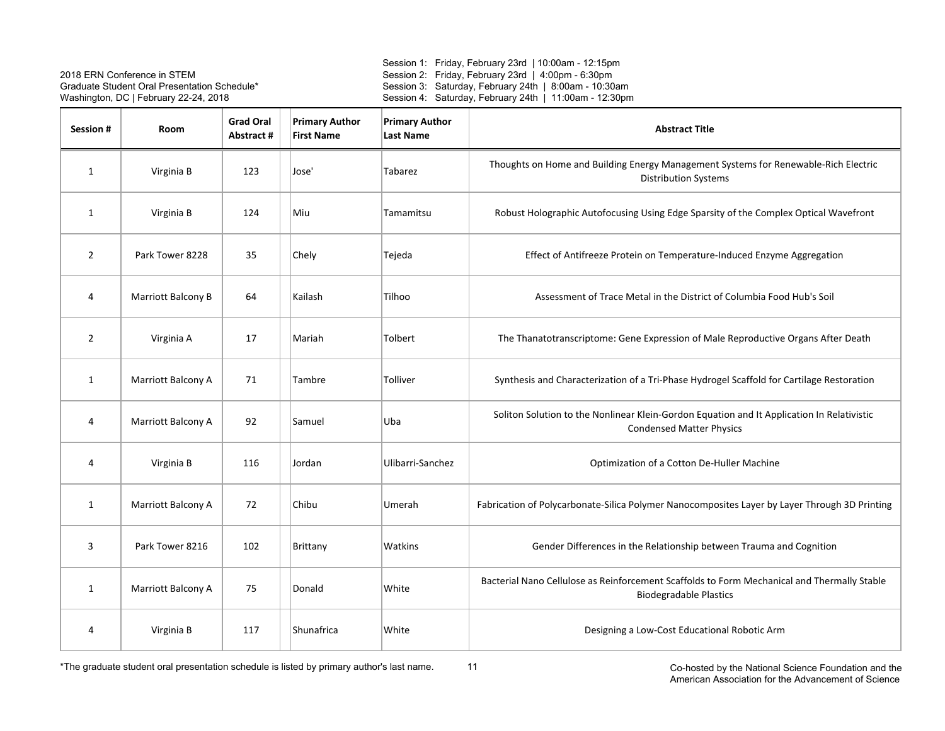Session 1: Friday, February 23rd | 10:00am - 12:15pm Session 2: Friday, February 23rd | 4:00pm - 6:30pm Session 3: Saturday, February 24th | 8:00am - 10:30am Session 4: Saturday, February 24th | 11:00am - 12:30pm

| Session #      | <b>Room</b>        | <b>Grad Oral</b><br>Abstract # | <b>Primary Author</b><br><b>First Name</b> | <b>Primary Author</b><br><b>Last Name</b> | <b>Abstract Title</b>                                                                                                         |
|----------------|--------------------|--------------------------------|--------------------------------------------|-------------------------------------------|-------------------------------------------------------------------------------------------------------------------------------|
| 1              | Virginia B         | 123                            | Jose'                                      | Tabarez                                   | Thoughts on Home and Building Energy Management Systems for Renewable-Rich Electric<br><b>Distribution Systems</b>            |
| 1              | Virginia B         | 124                            | Miu                                        | Tamamitsu                                 | Robust Holographic Autofocusing Using Edge Sparsity of the Complex Optical Wavefront                                          |
| $\overline{2}$ | Park Tower 8228    | 35                             | Chely                                      | Tejeda                                    | Effect of Antifreeze Protein on Temperature-Induced Enzyme Aggregation                                                        |
| 4              | Marriott Balcony B | 64                             | Kailash                                    | Tilhoo                                    | Assessment of Trace Metal in the District of Columbia Food Hub's Soil                                                         |
| $\overline{2}$ | Virginia A         | 17                             | Mariah                                     | Tolbert                                   | The Thanatotranscriptome: Gene Expression of Male Reproductive Organs After Death                                             |
| $\mathbf{1}$   | Marriott Balcony A | 71                             | Tambre                                     | Tolliver                                  | Synthesis and Characterization of a Tri-Phase Hydrogel Scaffold for Cartilage Restoration                                     |
| 4              | Marriott Balcony A | 92                             | Samuel                                     | Uba                                       | Soliton Solution to the Nonlinear Klein-Gordon Equation and It Application In Relativistic<br><b>Condensed Matter Physics</b> |
| 4              | Virginia B         | 116                            | Jordan                                     | Ulibarri-Sanchez                          | Optimization of a Cotton De-Huller Machine                                                                                    |
| 1              | Marriott Balcony A | 72                             | Chibu                                      | Umerah                                    | Fabrication of Polycarbonate-Silica Polymer Nanocomposites Layer by Layer Through 3D Printing                                 |
| 3              | Park Tower 8216    | 102                            | Brittany                                   | Watkins                                   | Gender Differences in the Relationship between Trauma and Cognition                                                           |
| 1              | Marriott Balcony A | 75                             | Donald                                     | White                                     | Bacterial Nano Cellulose as Reinforcement Scaffolds to Form Mechanical and Thermally Stable<br><b>Biodegradable Plastics</b>  |
| 4              | Virginia B         | 117                            | Shunafrica                                 | White                                     | Designing a Low-Cost Educational Robotic Arm                                                                                  |